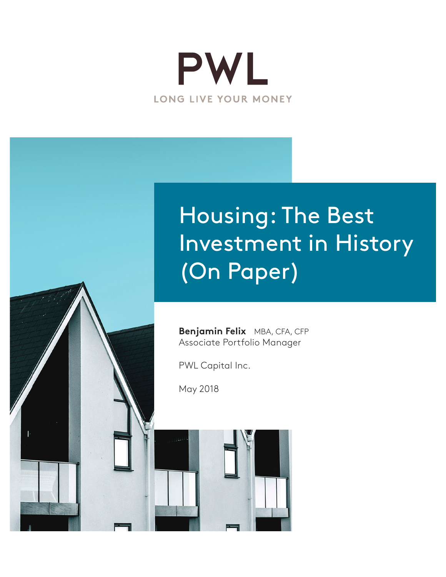

# Housing: The Best Investment in History (On Paper)

**Benjamin Felix** MBA, CFA, CFP Associate Portfolio Manager

PWL Capital Inc.

May 2018

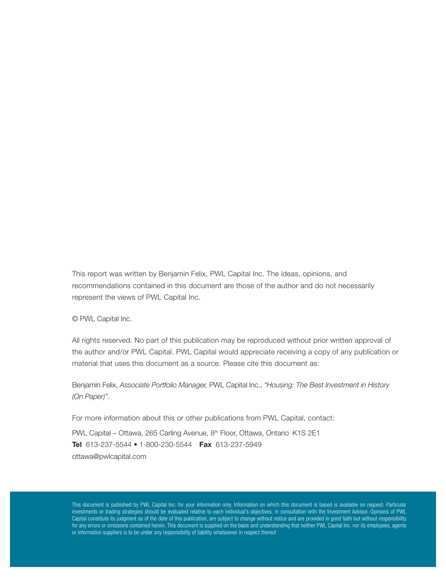This report was written by Benjamin Felix, PWL Capital Inc. The ideas, opinions, and recommendations contained in this document are those of the author and do not necessarily represent the views of PWL Capital Inc.

© PWL Capital Inc.

All rights reserved. No part of this publication may be reproduced without prior written approval of the author and/or PWL Capital. PWL Capital would appreciate receiving a copy of any publication or material that uses this document as a source. Please cite this document as:

Benjamin Felix, *Associate Portfolio Manager,* PWL Capital Inc., *"Housing: The Best Investment in History (On Paper)".*

For more information about this or other publications from PWL Capital, contact: PWL Capital – Ottawa, 265 Carling Avenue, 8<sup>th</sup> Floor, Ottawa, Ontario K1S 2E1 Tel 613-237-5544 • 1-800-230-5544 Fax 613-237-5949 [ottawa@pwlcapital.com](mailto:ottawa@pwlcapital.com)

This document is published by PWL Capital Inc. for your information only. Information on which this document is based is available on request. Particular investments or trading strategies should be evaluated relative to each individual's objectives, in consultation with the Investment Advisor. Opinions of PWL Capital constitute its judgment as of the date of this publication, are subject to change without notice and are provided in good faith but without responsibility for any errors or omissions contained herein. This document is supplied on the basis and understanding that neither PWL Capital Inc. nor its employees, agents or information suppliers is to be under any responsibility of liability whatsoever in respect thereof.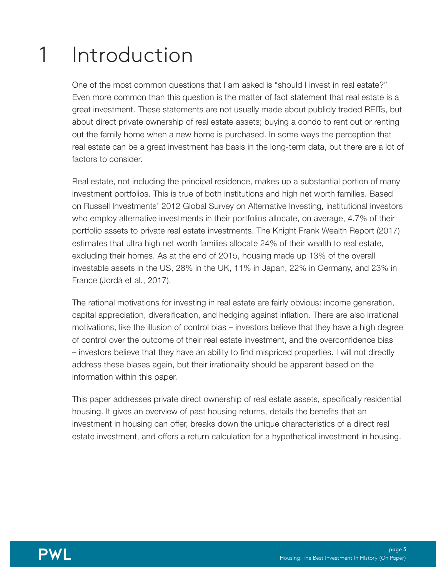#### Introduction 1

One of the most common questions that I am asked is "should I invest in real estate?" Even more common than this question is the matter of fact statement that real estate is a great investment. These statements are not usually made about publicly traded REITs, but about direct private ownership of real estate assets; buying a condo to rent out or renting out the family home when a new home is purchased. In some ways the perception that real estate can be a great investment has basis in the long-term data, but there are a lot of factors to consider.

Real estate, not including the principal residence, makes up a substantial portion of many investment portfolios. This is true of both institutions and high net worth families. Based on Russell Investments' 2012 Global Survey on Alternative Investing, institutional investors who employ alternative investments in their portfolios allocate, on average, 4.7% of their portfolio assets to private real estate investments. The Knight Frank Wealth Report (2017) estimates that ultra high net worth families allocate 24% of their wealth to real estate, excluding their homes. As at the end of 2015, housing made up 13% of the overall investable assets in the US, 28% in the UK, 11% in Japan, 22% in Germany, and 23% in France (Jordà et al., 2017).

The rational motivations for investing in real estate are fairly obvious: income generation, capital appreciation, diversification, and hedging against inflation. There are also irrational motivations, like the illusion of control bias – investors believe that they have a high degree of control over the outcome of their real estate investment, and the overconfidence bias – investors believe that they have an ability to find mispriced properties. I will not directly address these biases again, but their irrationality should be apparent based on the information within this paper.

This paper addresses private direct ownership of real estate assets, specifically residential housing. It gives an overview of past housing returns, details the benefits that an investment in housing can offer, breaks down the unique characteristics of a direct real estate investment, and offers a return calculation for a hypothetical investment in housing.

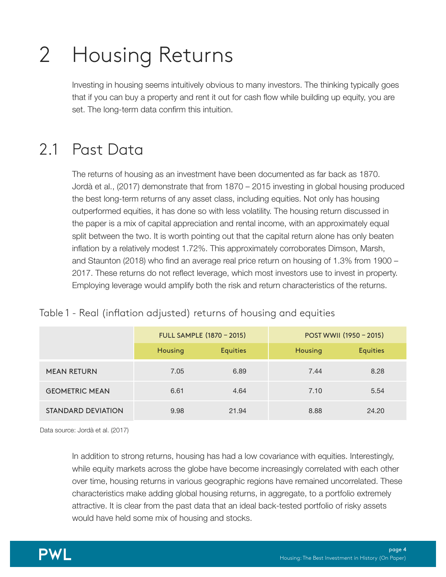#### Housing Returns 2

Investing in housing seems intuitively obvious to many investors. The thinking typically goes that if you can buy a property and rent it out for cash flow while building up equity, you are set. The long-term data confirm this intuition.

## 2.1 Past Data

The returns of housing as an investment have been documented as far back as 1870. Jordà et al., (2017) demonstrate that from 1870 – 2015 investing in global housing produced the best long-term returns of any asset class, including equities. Not only has housing outperformed equities, it has done so with less volatility. The housing return discussed in the paper is a mix of capital appreciation and rental income, with an approximately equal split between the two. It is worth pointing out that the capital return alone has only beaten inflation by a relatively modest 1.72%. This approximately corroborates Dimson, Marsh, and Staunton (2018) who find an average real price return on housing of 1.3% from 1900 – 2017. These returns do not reflect leverage, which most investors use to invest in property. Employing leverage would amplify both the risk and return characteristics of the returns.

#### Table 1 - Real (inflation adjusted) returns of housing and equities

|                       | <b>FULL SAMPLE (1870 - 2015)</b> |                 | POST WWII (1950 - 2015) |                 |
|-----------------------|----------------------------------|-----------------|-------------------------|-----------------|
|                       | Housing                          | <b>Equities</b> | <b>Housing</b>          | <b>Equities</b> |
| <b>MEAN RETURN</b>    | 7.05                             | 6.89            | 7.44                    | 8.28            |
| <b>GEOMETRIC MEAN</b> | 6.61                             | 4.64            | 7.10                    | 5.54            |
| STANDARD DEVIATION    | 9.98                             | 21.94           | 8.88                    | 24.20           |

Data source: Jordà et al. (2017)

In addition to strong returns, housing has had a low covariance with equities. Interestingly, while equity markets across the globe have become increasingly correlated with each other over time, housing returns in various geographic regions have remained uncorrelated. These characteristics make adding global housing returns, in aggregate, to a portfolio extremely attractive. It is clear from the past data that an ideal back-tested portfolio of risky assets would have held some mix of housing and stocks.

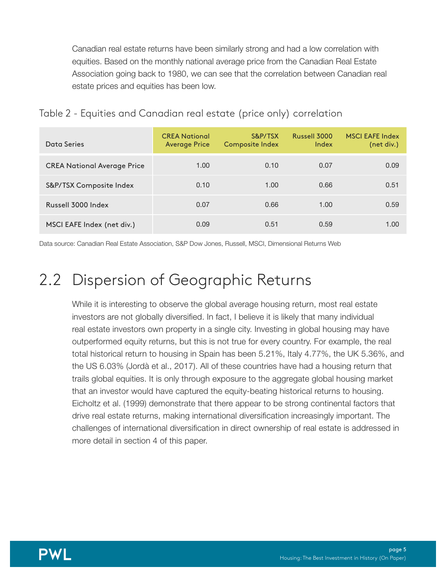Canadian real estate returns have been similarly strong and had a low correlation with equities. Based on the monthly national average price from the Canadian Real Estate Association going back to 1980, we can see that the correlation between Canadian real estate prices and equities has been low.

| Data Series                        | <b>CREA National</b><br><b>Average Price</b> | S&P/TSX<br><b>Composite Index</b> | Russell 3000<br>Index | <b>MSCI EAFE Index</b><br>(net div.) |
|------------------------------------|----------------------------------------------|-----------------------------------|-----------------------|--------------------------------------|
| <b>CREA National Average Price</b> | 1.00                                         | 0.10                              | 0.07                  | 0.09                                 |
| S&P/TSX Composite Index            | 0.10                                         | 1.00                              | 0.66                  | 0.51                                 |
| Russell 3000 Index                 | 0.07                                         | 0.66                              | 1.00                  | 0.59                                 |
| MSCI EAFE Index (net div.)         | 0.09                                         | 0.51                              | 0.59                  | 1.00                                 |

#### Table 2 - Equities and Canadian real estate (price only) correlation

Data source: Canadian Real Estate Association, S&P Dow Jones, Russell, MSCI, Dimensional Returns Web

#### Dispersion of Geographic Returns 2.2

While it is interesting to observe the global average housing return, most real estate investors are not globally diversified. In fact, I believe it is likely that many individual real estate investors own property in a single city. Investing in global housing may have outperformed equity returns, but this is not true for every country. For example, the real total historical return to housing in Spain has been 5.21%, Italy 4.77%, the UK 5.36%, and the US 6.03% (Jordà et al., 2017). All of these countries have had a housing return that trails global equities. It is only through exposure to the aggregate global housing market that an investor would have captured the equity-beating historical returns to housing. Eicholtz et al. (1999) demonstrate that there appear to be strong continental factors that drive real estate returns, making international diversification increasingly important. The challenges of international diversification in direct ownership of real estate is addressed in more detail in section 4 of this paper.

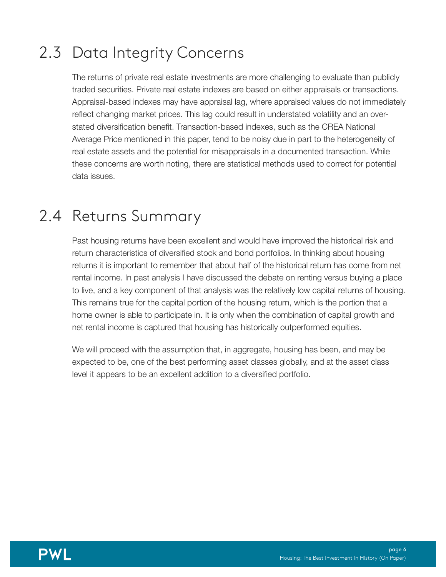## 2.3 Data Integrity Concerns

The returns of private real estate investments are more challenging to evaluate than publicly traded securities. Private real estate indexes are based on either appraisals or transactions. Appraisal-based indexes may have appraisal lag, where appraised values do not immediately reflect changing market prices. This lag could result in understated volatility and an overstated diversification benefit. Transaction-based indexes, such as the CREA National Average Price mentioned in this paper, tend to be noisy due in part to the heterogeneity of real estate assets and the potential for misappraisals in a documented transaction. While these concerns are worth noting, there are statistical methods used to correct for potential data issues.

### 2.4 Returns Summary

Past housing returns have been excellent and would have improved the historical risk and return characteristics of diversified stock and bond portfolios. In thinking about housing returns it is important to remember that about half of the historical return has come from net rental income. In past analysis I have discussed the debate on renting versus buying a place to live, and a key component of that analysis was the relatively low capital returns of housing. This remains true for the capital portion of the housing return, which is the portion that a home owner is able to participate in. It is only when the combination of capital growth and net rental income is captured that housing has historically outperformed equities.

We will proceed with the assumption that, in aggregate, housing has been, and may be expected to be, one of the best performing asset classes globally, and at the asset class level it appears to be an excellent addition to a diversified portfolio.

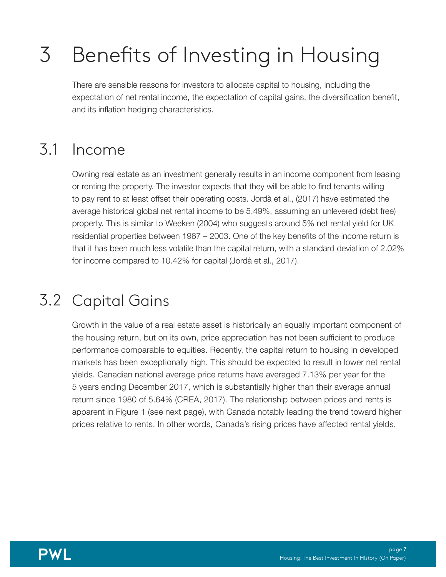#### Benefits of Investing in Housing 3

There are sensible reasons for investors to allocate capital to housing, including the expectation of net rental income, the expectation of capital gains, the diversification benefit, and its inflation hedging characteristics.

#### Income 3.1

Owning real estate as an investment generally results in an income component from leasing or renting the property. The investor expects that they will be able to find tenants willing to pay rent to at least offset their operating costs. Jordà et al., (2017) have estimated the average historical global net rental income to be 5.49%, assuming an unlevered (debt free) property. This is similar to Weeken (2004) who suggests around 5% net rental yield for UK residential properties between 1967 – 2003. One of the key benefits of the income return is that it has been much less volatile than the capital return, with a standard deviation of 2.02% for income compared to 10.42% for capital (Jordà et al., 2017).

## 3.2 Capital Gains

Growth in the value of a real estate asset is historically an equally important component of the housing return, but on its own, price appreciation has not been sufficient to produce performance comparable to equities. Recently, the capital return to housing in developed markets has been exceptionally high. This should be expected to result in lower net rental yields. Canadian national average price returns have averaged 7.13% per year for the 5 years ending December 2017, which is substantially higher than their average annual return since 1980 of 5.64% (CREA, 2017). The relationship between prices and rents is apparent in Figure 1 (see next page), with Canada notably leading the trend toward higher prices relative to rents. In other words, Canada's rising prices have affected rental yields.

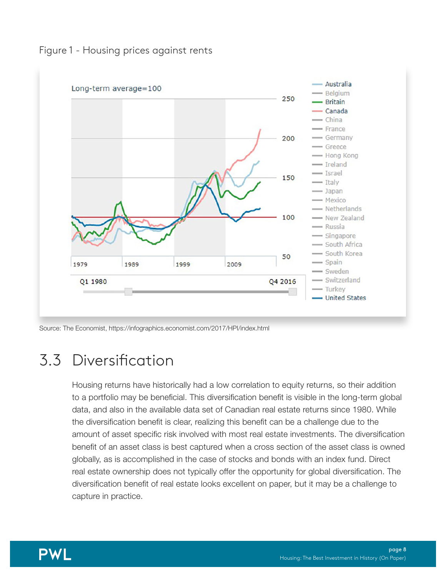



Source: The Economist,<https://infographics.economist.com/2017/HPI/index.html>

## Diversification 3.3

Housing returns have historically had a low correlation to equity returns, so their addition to a portfolio may be beneficial. This diversification benefit is visible in the long-term global data, and also in the available data set of Canadian real estate returns since 1980. While the diversification benefit is clear, realizing this benefit can be a challenge due to the amount of asset specific risk involved with most real estate investments. The diversification benefit of an asset class is best captured when a cross section of the asset class is owned globally, as is accomplished in the case of stocks and bonds with an index fund. Direct real estate ownership does not typically offer the opportunity for global diversification. The diversification benefit of real estate looks excellent on paper, but it may be a challenge to capture in practice.

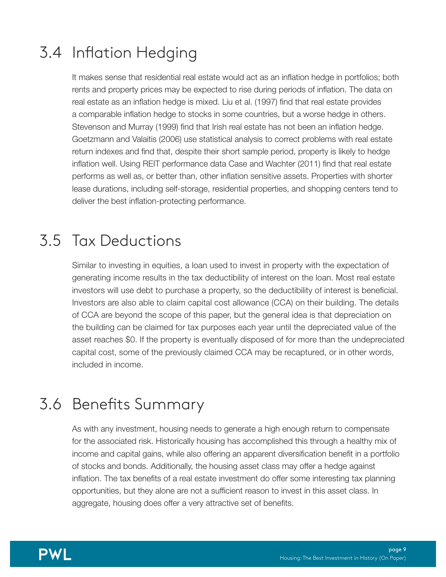## 3.4 Inflation Hedging

It makes sense that residential real estate would act as an inflation hedge in portfolios; both rents and property prices may be expected to rise during periods of inflation. The data on real estate as an inflation hedge is mixed. Liu et al. (1997) find that real estate provides a comparable inflation hedge to stocks in some countries, but a worse hedge in others. Stevenson and Murray (1999) find that Irish real estate has not been an inflation hedge. Goetzmann and Valaitis (2006) use statistical analysis to correct problems with real estate return indexes and find that, despite their short sample period, property is likely to hedge inflation well. Using REIT performance data Case and Wachter (2011) find that real estate performs as well as, or better than, other inflation sensitive assets. Properties with shorter lease durations, including self-storage, residential properties, and shopping centers tend to deliver the best inflation-protecting performance.

## 3.5 Tax Deductions

Similar to investing in equities, a loan used to invest in property with the expectation of generating income results in the tax deductibility of interest on the loan. Most real estate investors will use debt to purchase a property, so the deductibility of interest is beneficial. Investors are also able to claim capital cost allowance (CCA) on their building. The details of CCA are beyond the scope of this paper, but the general idea is that depreciation on the building can be claimed for tax purposes each year until the depreciated value of the asset reaches \$0. If the property is eventually disposed of for more than the undepreciated capital cost, some of the previously claimed CCA may be recaptured, or in other words, included in income.

## Benefits Summary 3.6

As with any investment, housing needs to generate a high enough return to compensate for the associated risk. Historically housing has accomplished this through a healthy mix of income and capital gains, while also offering an apparent diversification benefit in a portfolio of stocks and bonds. Additionally, the housing asset class may offer a hedge against inflation. The tax benefits of a real estate investment do offer some interesting tax planning opportunities, but they alone are not a sufficient reason to invest in this asset class. In aggregate, housing does offer a very attractive set of benefits.

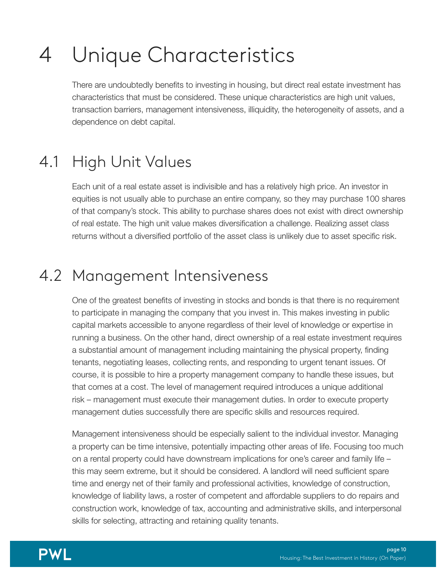#### Unique Characteristics 4

There are undoubtedly benefits to investing in housing, but direct real estate investment has characteristics that must be considered. These unique characteristics are high unit values, transaction barriers, management intensiveness, illiquidity, the heterogeneity of assets, and a dependence on debt capital.

#### High Unit Values 4.1

Each unit of a real estate asset is indivisible and has a relatively high price. An investor in equities is not usually able to purchase an entire company, so they may purchase 100 shares of that company's stock. This ability to purchase shares does not exist with direct ownership of real estate. The high unit value makes diversification a challenge. Realizing asset class returns without a diversified portfolio of the asset class is unlikely due to asset specific risk.

## 4.2 Management Intensiveness

One of the greatest benefits of investing in stocks and bonds is that there is no requirement to participate in managing the company that you invest in. This makes investing in public capital markets accessible to anyone regardless of their level of knowledge or expertise in running a business. On the other hand, direct ownership of a real estate investment requires a substantial amount of management including maintaining the physical property, finding tenants, negotiating leases, collecting rents, and responding to urgent tenant issues. Of course, it is possible to hire a property management company to handle these issues, but that comes at a cost. The level of management required introduces a unique additional risk – management must execute their management duties. In order to execute property management duties successfully there are specific skills and resources required.

Management intensiveness should be especially salient to the individual investor. Managing a property can be time intensive, potentially impacting other areas of life. Focusing too much on a rental property could have downstream implications for one's career and family life – this may seem extreme, but it should be considered. A landlord will need sufficient spare time and energy net of their family and professional activities, knowledge of construction, knowledge of liability laws, a roster of competent and affordable suppliers to do repairs and construction work, knowledge of tax, accounting and administrative skills, and interpersonal skills for selecting, attracting and retaining quality tenants.

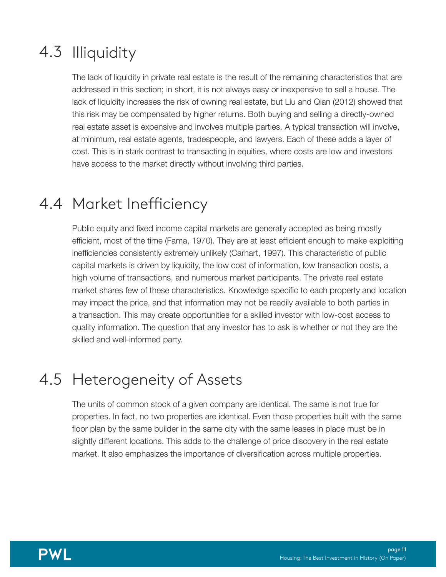## 4.3 Illiquidity

The lack of liquidity in private real estate is the result of the remaining characteristics that are addressed in this section; in short, it is not always easy or inexpensive to sell a house. The lack of liquidity increases the risk of owning real estate, but Liu and Qian (2012) showed that this risk may be compensated by higher returns. Both buying and selling a directly-owned real estate asset is expensive and involves multiple parties. A typical transaction will involve, at minimum, real estate agents, tradespeople, and lawyers. Each of these adds a layer of cost. This is in stark contrast to transacting in equities, where costs are low and investors have access to the market directly without involving third parties.

### 4.4 Market Inefficiency

Public equity and fixed income capital markets are generally accepted as being mostly efficient, most of the time (Fama, 1970). They are at least efficient enough to make exploiting inefficiencies consistently extremely unlikely (Carhart, 1997). This characteristic of public capital markets is driven by liquidity, the low cost of information, low transaction costs, a high volume of transactions, and numerous market participants. The private real estate market shares few of these characteristics. Knowledge specific to each property and location may impact the price, and that information may not be readily available to both parties in a transaction. This may create opportunities for a skilled investor with low-cost access to quality information. The question that any investor has to ask is whether or not they are the skilled and well-informed party.

## 4.5 Heterogeneity of Assets

The units of common stock of a given company are identical. The same is not true for properties. In fact, no two properties are identical. Even those properties built with the same floor plan by the same builder in the same city with the same leases in place must be in slightly different locations. This adds to the challenge of price discovery in the real estate market. It also emphasizes the importance of diversification across multiple properties.

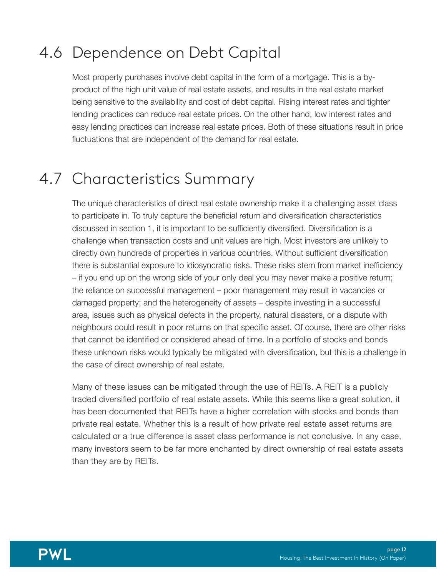## 4.6 Dependence on Debt Capital

Most property purchases involve debt capital in the form of a mortgage. This is a byproduct of the high unit value of real estate assets, and results in the real estate market being sensitive to the availability and cost of debt capital. Rising interest rates and tighter lending practices can reduce real estate prices. On the other hand, low interest rates and easy lending practices can increase real estate prices. Both of these situations result in price fluctuations that are independent of the demand for real estate.

#### 4.7 Characteristics Summary

The unique characteristics of direct real estate ownership make it a challenging asset class to participate in. To truly capture the beneficial return and diversification characteristics discussed in section 1, it is important to be sufficiently diversified. Diversification is a challenge when transaction costs and unit values are high. Most investors are unlikely to directly own hundreds of properties in various countries. Without sufficient diversification there is substantial exposure to idiosyncratic risks. These risks stem from market inefficiency – if you end up on the wrong side of your only deal you may never make a positive return; the reliance on successful management – poor management may result in vacancies or damaged property; and the heterogeneity of assets – despite investing in a successful area, issues such as physical defects in the property, natural disasters, or a dispute with neighbours could result in poor returns on that specific asset. Of course, there are other risks that cannot be identified or considered ahead of time. In a portfolio of stocks and bonds these unknown risks would typically be mitigated with diversification, but this is a challenge in the case of direct ownership of real estate.

Many of these issues can be mitigated through the use of REITs. A REIT is a publicly traded diversified portfolio of real estate assets. While this seems like a great solution, it has been documented that REITs have a higher correlation with stocks and bonds than private real estate. Whether this is a result of how private real estate asset returns are calculated or a true difference is asset class performance is not conclusive. In any case, many investors seem to be far more enchanted by direct ownership of real estate assets than they are by REITs.

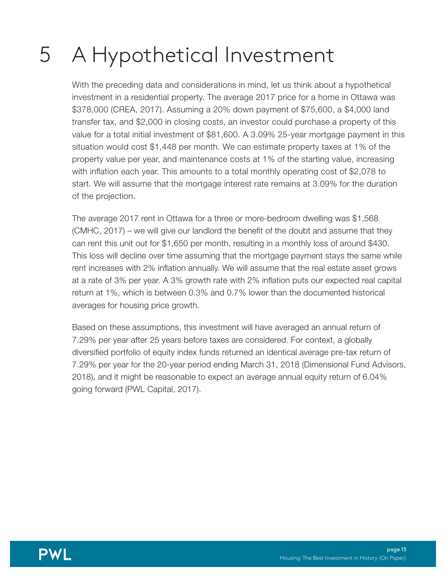#### A Hypothetical Investment 5

With the preceding data and considerations in mind, let us think about a hypothetical investment in a residential property. The average 2017 price for a home in Ottawa was \$378,000 (CREA, 2017). Assuming a 20% down payment of \$75,600, a \$4,000 land transfer tax, and \$2,000 in closing costs, an investor could purchase a property of this value for a total initial investment of \$81,600. A 3.09% 25-year mortgage payment in this situation would cost \$1,448 per month. We can estimate property taxes at 1% of the property value per year, and maintenance costs at 1% of the starting value, increasing with inflation each year. This amounts to a total monthly operating cost of \$2,078 to start. We will assume that the mortgage interest rate remains at 3.09% for the duration of the projection.

The average 2017 rent in Ottawa for a three or more-bedroom dwelling was \$1,568 (CMHC, 2017) – we will give our landlord the benefit of the doubt and assume that they can rent this unit out for \$1,650 per month, resulting in a monthly loss of around \$430. This loss will decline over time assuming that the mortgage payment stays the same while rent increases with 2% inflation annually. We will assume that the real estate asset grows at a rate of 3% per year. A 3% growth rate with 2% inflation puts our expected real capital return at 1%, which is between 0.3% and 0.7% lower than the documented historical averages for housing price growth.

Based on these assumptions, this investment will have averaged an annual return of 7.29% per year after 25 years before taxes are considered. For context, a globally diversified portfolio of equity index funds returned an identical average pre-tax return of 7.29% per year for the 20-year period ending March 31, 2018 (Dimensional Fund Advisors, 2018), and it might be reasonable to expect an average annual equity return of 6.04% going forward (PWL Capital, 2017).

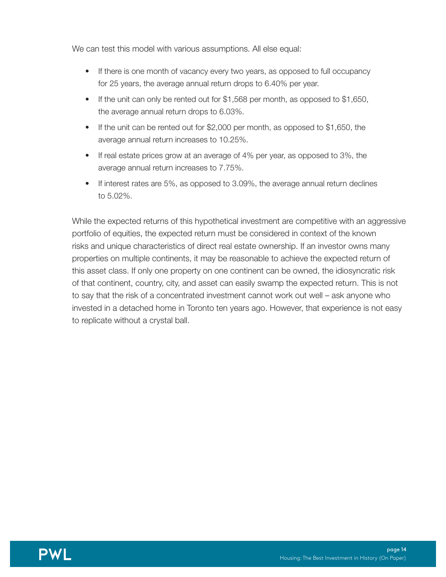We can test this model with various assumptions. All else equal:

- If there is one month of vacancy every two years, as opposed to full occupancy for 25 years, the average annual return drops to 6.40% per year.
- If the unit can only be rented out for \$1,568 per month, as opposed to \$1,650, the average annual return drops to 6.03%.
- If the unit can be rented out for  $$2,000$  per month, as opposed to  $$1,650$ , the average annual return increases to 10.25%.
- If real estate prices grow at an average of 4% per year, as opposed to 3%, the average annual return increases to 7.75%.
- If interest rates are 5%, as opposed to 3.09%, the average annual return declines to 5.02%.

While the expected returns of this hypothetical investment are competitive with an aggressive portfolio of equities, the expected return must be considered in context of the known risks and unique characteristics of direct real estate ownership. If an investor owns many properties on multiple continents, it may be reasonable to achieve the expected return of this asset class. If only one property on one continent can be owned, the idiosyncratic risk of that continent, country, city, and asset can easily swamp the expected return. This is not to say that the risk of a concentrated investment cannot work out well – ask anyone who invested in a detached home in Toronto ten years ago. However, that experience is not easy to replicate without a crystal ball.

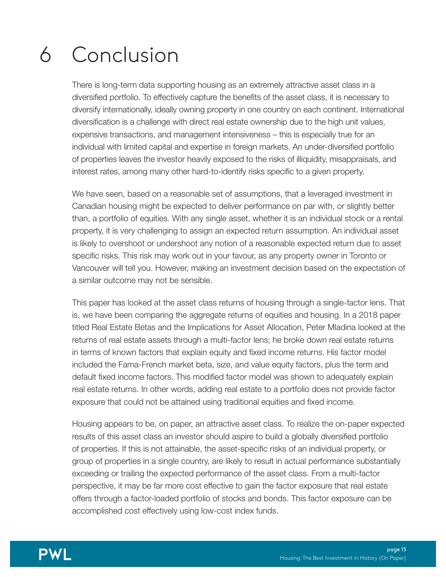#### Conclusion 6

There is long-term data supporting housing as an extremely attractive asset class in a diversified portfolio. To effectively capture the benefits of the asset class, it is necessary to diversify internationally, ideally owning property in one country on each continent. International diversification is a challenge with direct real estate ownership due to the high unit values, expensive transactions, and management intensiveness – this is especially true for an individual with limited capital and expertise in foreign markets. An under-diversified portfolio of properties leaves the investor heavily exposed to the risks of illiquidity, misappraisals, and interest rates, among many other hard-to-identify risks specific to a given property.

We have seen, based on a reasonable set of assumptions, that a leveraged investment in Canadian housing might be expected to deliver performance on par with, or slightly better than, a portfolio of equities. With any single asset, whether it is an individual stock or a rental property, it is very challenging to assign an expected return assumption. An individual asset is likely to overshoot or undershoot any notion of a reasonable expected return due to asset specific risks. This risk may work out in your favour, as any property owner in Toronto or Vancouver will tell you. However, making an investment decision based on the expectation of a similar outcome may not be sensible.

This paper has looked at the asset class returns of housing through a single-factor lens. That is, we have been comparing the aggregate returns of equities and housing. In a 2018 paper titled Real Estate Betas and the Implications for Asset Allocation, Peter Mladina looked at the returns of real estate assets through a multi-factor lens; he broke down real estate returns in terms of known factors that explain equity and fixed income returns. His factor model included the Fama-French market beta, size, and value equity factors, plus the term and default fixed income factors. This modified factor model was shown to adequately explain real estate returns. In other words, adding real estate to a portfolio does not provide factor exposure that could not be attained using traditional equities and fixed income.

Housing appears to be, on paper, an attractive asset class. To realize the on-paper expected results of this asset class an investor should aspire to build a globally diversified portfolio of properties. If this is not attainable, the asset-specific risks of an individual property, or group of properties in a single country, are likely to result in actual performance substantially exceeding or trailing the expected performance of the asset class. From a multi-factor perspective, it may be far more cost effective to gain the factor exposure that real estate offers through a factor-loaded portfolio of stocks and bonds. This factor exposure can be accomplished cost effectively using low-cost index funds.

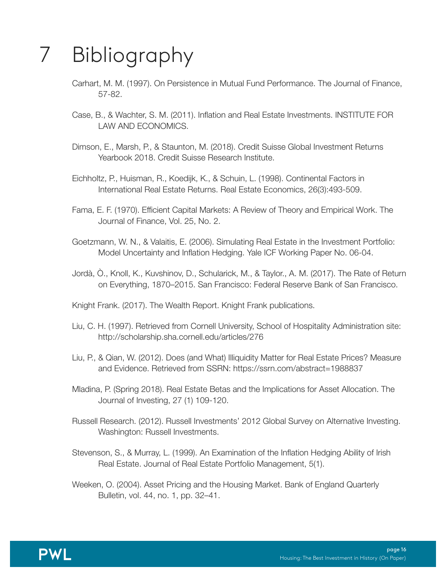#### Bibliography 7

- Carhart, M. M. (1997). On Persistence in Mutual Fund Performance. The Journal of Finance, 57-82.
- Case, B., & Wachter, S. M. (2011). Inflation and Real Estate Investments. INSTITUTE FOR LAW AND ECONOMICS.
- Dimson, E., Marsh, P., & Staunton, M. (2018). Credit Suisse Global Investment Returns Yearbook 2018. Credit Suisse Research Institute.
- Eichholtz, P., Huisman, R., Koedijk, K., & Schuin, L. (1998). Continental Factors in International Real Estate Returns. Real Estate Economics, 26(3):493-509.
- Fama, E. F. (1970). Efficient Capital Markets: A Review of Theory and Empirical Work. The Journal of Finance, Vol. 25, No. 2.
- Goetzmann, W. N., & Valaitis, E. (2006). Simulating Real Estate in the Investment Portfolio: Model Uncertainty and Inflation Hedging. Yale ICF Working Paper No. 06-04.
- Jordà, Ò., Knoll, K., Kuvshinov, D., Schularick, M., & Taylor., A. M. (2017). The Rate of Return on Everything, 1870–2015. San Francisco: Federal Reserve Bank of San Francisco.
- Knight Frank. (2017). The Wealth Report. Knight Frank publications.
- Liu, C. H. (1997). Retrieved from Cornell University, School of Hospitality Administration site: http://scholarship.sha.cornell.edu/articles/276
- Liu, P., & Qian, W. (2012). Does (and What) Illiquidity Matter for Real Estate Prices? Measure and Evidence. Retrieved from SSRN: https://ssrn.com/abstract=1988837
- Mladina, P. (Spring 2018). Real Estate Betas and the Implications for Asset Allocation. The Journal of Investing, 27 (1) 109-120.
- Russell Research. (2012). Russell Investments' 2012 Global Survey on Alternative Investing. Washington: Russell Investments.
- Stevenson, S., & Murray, L. (1999). An Examination of the Inflation Hedging Ability of Irish Real Estate. Journal of Real Estate Portfolio Management, 5(1).
- Weeken, O. (2004). Asset Pricing and the Housing Market. Bank of England Quarterly Bulletin, vol. 44, no. 1, pp. 32–41.

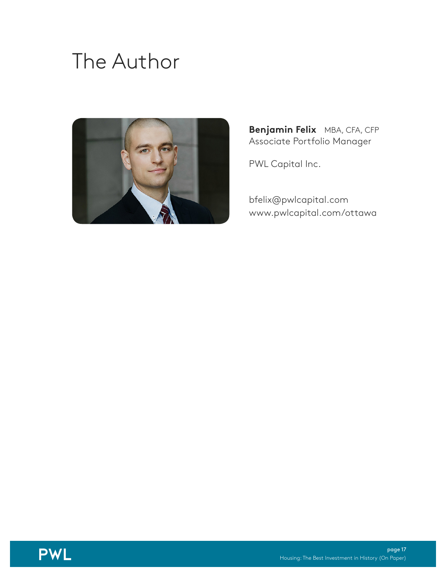# The Author



**Benjamin Felix** MBA, CFA, CFP Associate Portfolio Manager

PWL Capital Inc.

[bfelix@pwlcapital.com](mailto:bfelix@pwlcapital.com) [www.pwlcapital.com/ottawa](https://www.pwlcapital.com/ottawa)